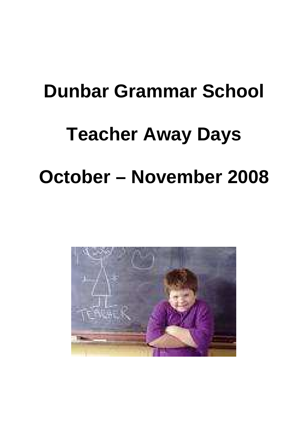# **Dunbar Grammar School Teacher Away Days**

## **October – November 2008**

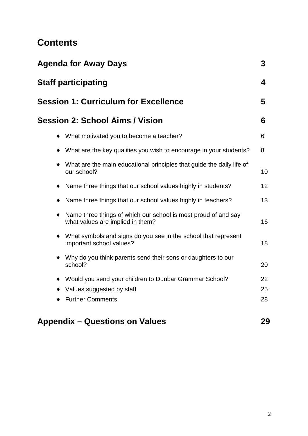## **Contents**

| <b>Agenda for Away Days</b>                                                                                     | 3  |  |
|-----------------------------------------------------------------------------------------------------------------|----|--|
| <b>Staff participating</b>                                                                                      |    |  |
| <b>Session 1: Curriculum for Excellence</b>                                                                     | 5  |  |
| <b>Session 2: School Aims / Vision</b>                                                                          | 6  |  |
| What motivated you to become a teacher?<br>$\bullet$                                                            | 6  |  |
| What are the key qualities you wish to encourage in your students?<br>$\bullet$                                 | 8  |  |
| What are the main educational principles that guide the daily life of<br>$\bullet$<br>our school?               | 10 |  |
| Name three things that our school values highly in students?<br>٠                                               | 12 |  |
| Name three things that our school values highly in teachers?                                                    | 13 |  |
| Name three things of which our school is most proud of and say<br>$\bullet$<br>what values are implied in them? | 16 |  |
| What symbols and signs do you see in the school that represent<br>$\bullet$<br>important school values?         | 18 |  |
| Why do you think parents send their sons or daughters to our<br>$\bullet$<br>school?                            | 20 |  |
| Would you send your children to Dunbar Grammar School?<br>٠                                                     | 22 |  |
| Values suggested by staff                                                                                       | 25 |  |
| <b>Further Comments</b>                                                                                         | 28 |  |
| <b>Appendix – Questions on Values</b>                                                                           | 29 |  |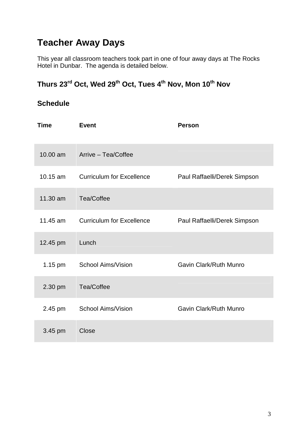## **Teacher Away Days**

This year all classroom teachers took part in one of four away days at The Rocks Hotel in Dunbar. The agenda is detailed below.

## **Thurs 23rd Oct, Wed 29th Oct, Tues 4th Nov, Mon 10th Nov**

### **Schedule**

| Time       | <b>Event</b>                     | <b>Person</b>                |
|------------|----------------------------------|------------------------------|
| 10.00 am   | Arrive - Tea/Coffee              |                              |
| $10.15$ am | <b>Curriculum for Excellence</b> | Paul Raffaelli/Derek Simpson |
| 11.30 am   | Tea/Coffee                       |                              |
| 11.45 am   | <b>Curriculum for Excellence</b> | Paul Raffaelli/Derek Simpson |
| 12.45 pm   | Lunch                            |                              |
| 1.15 pm    | <b>School Aims/Vision</b>        | Gavin Clark/Ruth Munro       |
| 2.30 pm    | Tea/Coffee                       |                              |
| 2.45 pm    | School Aims/Vision               | Gavin Clark/Ruth Munro       |
| 3.45 pm    | Close                            |                              |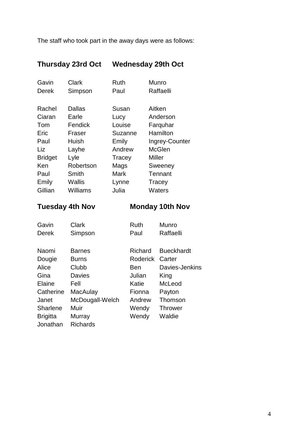The staff who took part in the away days were as follows:

## **Thursday 23rd Oct Wednesday 29th Oct**

| Gavin          | Clark         | Ruth    | Munro          |
|----------------|---------------|---------|----------------|
| Derek          | Simpson       | Paul    | Raffaelli      |
|                |               |         |                |
| Rachel         | Dallas        | Susan   | Aitken         |
| Ciaran         | Earle         | Lucy    | Anderson       |
| Tom            | Fendick       | Louise  | Farquhar       |
| Eric           | Fraser        | Suzanne | Hamilton       |
| Paul           | Huish         | Emily   | Ingrey-Counter |
| Liz            | Layhe         | Andrew  | <b>McGlen</b>  |
| <b>Bridget</b> | Lyle          | Tracey  | Miller         |
| Ken            | Robertson     | Mags    | Sweeney        |
| Paul           | Smith         | Mark    | Tennant        |
| Emily          | <b>Wallis</b> | Lynne   | Tracey         |
| Gillian        | Williams      | Julia   | Waters         |

## **Tuesday 4th Nov Monday 10th Nov**

| Gavin           | Clark           | <b>Ruth</b>     | <b>Munro</b>      |
|-----------------|-----------------|-----------------|-------------------|
| <b>Derek</b>    | Simpson         | Paul            | Raffaelli         |
|                 |                 |                 |                   |
| Naomi           | <b>Barnes</b>   | Richard         | <b>Bueckhardt</b> |
| Dougie          | <b>Burns</b>    | <b>Roderick</b> | Carter            |
| Alice           | Clubb           | Ben             | Davies-Jenkins    |
| Gina            | <b>Davies</b>   | Julian          | King              |
| Elaine          | Fell            | Katie           | McLeod            |
| Catherine       | MacAulay        | Fionna          | Payton            |
| Janet           | McDougall-Welch | Andrew          | Thomson           |
| Sharlene        | Muir            | Wendy           | <b>Thrower</b>    |
| <b>Brigitta</b> | Murray          | Wendy           | Waldie            |
| Jonathan        | <b>Richards</b> |                 |                   |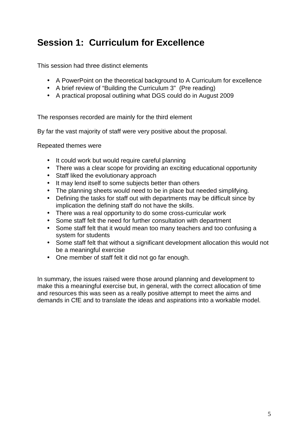## **Session 1: Curriculum for Excellence**

This session had three distinct elements

- A PowerPoint on the theoretical background to A Curriculum for excellence
- A brief review of "Building the Curriculum 3" (Pre reading)
- A practical proposal outlining what DGS could do in August 2009

The responses recorded are mainly for the third element

By far the vast majority of staff were very positive about the proposal.

Repeated themes were

- It could work but would require careful planning
- There was a clear scope for providing an exciting educational opportunity
- Staff liked the evolutionary approach
- It may lend itself to some subjects better than others
- The planning sheets would need to be in place but needed simplifying.
- Defining the tasks for staff out with departments may be difficult since by implication the defining staff do not have the skills.
- There was a real opportunity to do some cross-curricular work
- Some staff felt the need for further consultation with department
- Some staff felt that it would mean too many teachers and too confusing a system for students
- Some staff felt that without a significant development allocation this would not be a meaningful exercise
- One member of staff felt it did not go far enough.

In summary, the issues raised were those around planning and development to make this a meaningful exercise but, in general, with the correct allocation of time and resources this was seen as a really positive attempt to meet the aims and demands in CfE and to translate the ideas and aspirations into a workable model.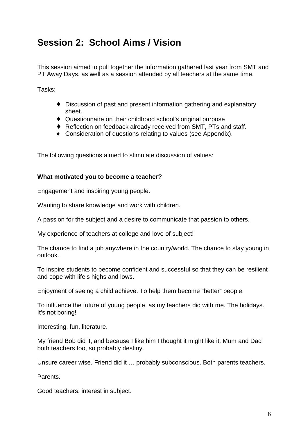## **Session 2: School Aims / Vision**

This session aimed to pull together the information gathered last year from SMT and PT Away Days, as well as a session attended by all teachers at the same time.

Tasks:

- ♦ Discussion of past and present information gathering and explanatory sheet.
- ♦ Questionnaire on their childhood school's original purpose
- ♦ Reflection on feedback already received from SMT, PTs and staff.
- ♦ Consideration of questions relating to values (see Appendix).

The following questions aimed to stimulate discussion of values:

#### **What motivated you to become a teacher?**

Engagement and inspiring young people.

Wanting to share knowledge and work with children.

A passion for the subject and a desire to communicate that passion to others.

My experience of teachers at college and love of subject!

The chance to find a job anywhere in the country/world. The chance to stay young in outlook.

To inspire students to become confident and successful so that they can be resilient and cope with life's highs and lows.

Enjoyment of seeing a child achieve. To help them become "better" people.

To influence the future of young people, as my teachers did with me. The holidays. It's not boring!

Interesting, fun, literature.

My friend Bob did it, and because I like him I thought it might like it. Mum and Dad both teachers too, so probably destiny.

Unsure career wise. Friend did it … probably subconscious. Both parents teachers.

Parents.

Good teachers, interest in subject.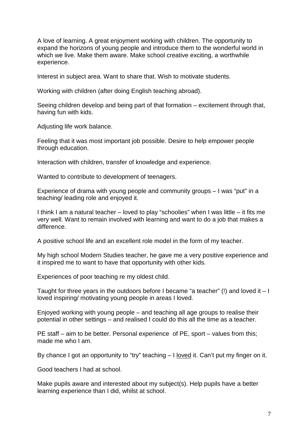A love of learning. A great enjoyment working with children. The opportunity to expand the horizons of young people and introduce them to the wonderful world in which we live. Make them aware. Make school creative exciting, a worthwhile experience.

Interest in subject area. Want to share that. Wish to motivate students.

Working with children (after doing English teaching abroad).

Seeing children develop and being part of that formation – excitement through that, having fun with kids.

Adjusting life work balance.

Feeling that it was most important job possible. Desire to help empower people through education.

Interaction with children, transfer of knowledge and experience.

Wanted to contribute to development of teenagers.

Experience of drama with young people and community groups – I was "put" in a teaching/ leading role and enjoyed it.

I think I am a natural teacher – loved to play "schoolies" when I was little – it fits me very well. Want to remain involved with learning and want to do a job that makes a difference.

A positive school life and an excellent role model in the form of my teacher.

My high school Modern Studies teacher, he gave me a very positive experience and it inspired me to want to have that opportunity with other kids.

Experiences of poor teaching re my oldest child.

Taught for three years in the outdoors before I became "a teacher" (!) and loved it  $-1$ loved inspiring/ motivating young people in areas I loved.

Enjoyed working with young people – and teaching all age groups to realise their potential in other settings – and realised I could do this all the time as a teacher.

PE staff – aim to be better. Personal experience of PE, sport – values from this: made me who I am.

By chance I got an opportunity to "try" teaching – I <u>loved</u> it. Can't put my finger on it.

Good teachers I had at school.

Make pupils aware and interested about my subject(s). Help pupils have a better learning experience than I did, whilst at school.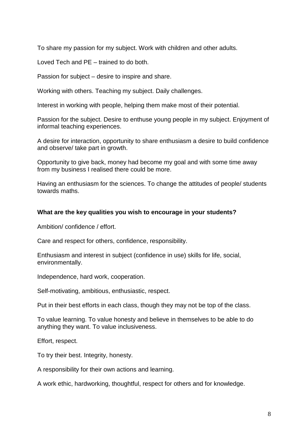To share my passion for my subject. Work with children and other adults.

Loved Tech and PE – trained to do both.

Passion for subject – desire to inspire and share.

Working with others. Teaching my subject. Daily challenges.

Interest in working with people, helping them make most of their potential.

Passion for the subject. Desire to enthuse young people in my subject. Enjoyment of informal teaching experiences.

A desire for interaction, opportunity to share enthusiasm a desire to build confidence and observe/ take part in growth.

Opportunity to give back, money had become my goal and with some time away from my business I realised there could be more.

Having an enthusiasm for the sciences. To change the attitudes of people/ students towards maths.

#### **What are the key qualities you wish to encourage in your students?**

Ambition/ confidence / effort.

Care and respect for others, confidence, responsibility.

Enthusiasm and interest in subject (confidence in use) skills for life, social, environmentally.

Independence, hard work, cooperation.

Self-motivating, ambitious, enthusiastic, respect.

Put in their best efforts in each class, though they may not be top of the class.

To value learning. To value honesty and believe in themselves to be able to do anything they want. To value inclusiveness.

Effort, respect.

To try their best. Integrity, honesty.

A responsibility for their own actions and learning.

A work ethic, hardworking, thoughtful, respect for others and for knowledge.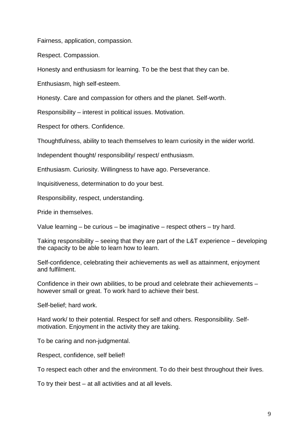Fairness, application, compassion.

Respect. Compassion.

Honesty and enthusiasm for learning. To be the best that they can be.

Enthusiasm, high self-esteem.

Honesty. Care and compassion for others and the planet. Self-worth.

Responsibility – interest in political issues. Motivation.

Respect for others. Confidence.

Thoughtfulness, ability to teach themselves to learn curiosity in the wider world.

Independent thought/ responsibility/ respect/ enthusiasm.

Enthusiasm. Curiosity. Willingness to have ago. Perseverance.

Inquisitiveness, determination to do your best.

Responsibility, respect, understanding.

Pride in themselves.

Value learning – be curious – be imaginative – respect others – try hard.

Taking responsibility – seeing that they are part of the L&T experience – developing the capacity to be able to learn how to learn.

Self-confidence, celebrating their achievements as well as attainment, enjoyment and fulfilment.

Confidence in their own abilities, to be proud and celebrate their achievements – however small or great. To work hard to achieve their best.

Self-belief; hard work.

Hard work/ to their potential. Respect for self and others. Responsibility. Selfmotivation. Enjoyment in the activity they are taking.

To be caring and non-judgmental.

Respect, confidence, self belief!

To respect each other and the environment. To do their best throughout their lives.

To try their best – at all activities and at all levels.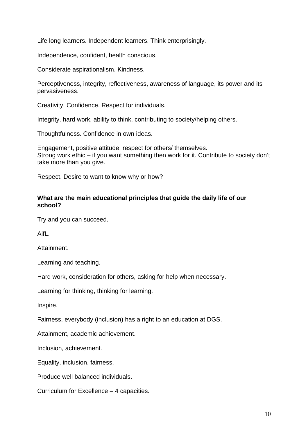Life long learners. Independent learners. Think enterprisingly.

Independence, confident, health conscious.

Considerate aspirationalism. Kindness.

Perceptiveness, integrity, reflectiveness, awareness of language, its power and its pervasiveness.

Creativity. Confidence. Respect for individuals.

Integrity, hard work, ability to think, contributing to society/helping others.

Thoughtfulness. Confidence in own ideas.

Engagement, positive attitude, respect for others/ themselves. Strong work ethic – if you want something then work for it. Contribute to society don't take more than you give.

Respect. Desire to want to know why or how?

#### **What are the main educational principles that guide the daily life of our school?**

Try and you can succeed.

AifL.

Attainment.

Learning and teaching.

Hard work, consideration for others, asking for help when necessary.

Learning for thinking, thinking for learning.

Inspire.

Fairness, everybody (inclusion) has a right to an education at DGS.

Attainment, academic achievement.

Inclusion, achievement.

Equality, inclusion, fairness.

Produce well balanced individuals.

Curriculum for Excellence – 4 capacities.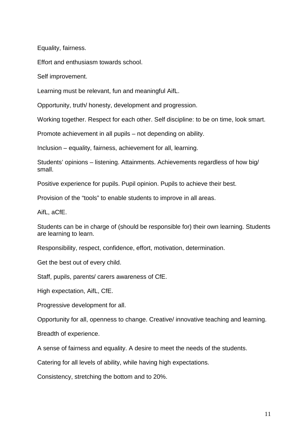Equality, fairness.

Effort and enthusiasm towards school.

Self improvement.

Learning must be relevant, fun and meaningful AifL.

Opportunity, truth/ honesty, development and progression.

Working together. Respect for each other. Self discipline: to be on time, look smart.

Promote achievement in all pupils – not depending on ability.

Inclusion – equality, fairness, achievement for all, learning.

Students' opinions – listening. Attainments. Achievements regardless of how big/ small.

Positive experience for pupils. Pupil opinion. Pupils to achieve their best.

Provision of the "tools" to enable students to improve in all areas.

AifL, aCfE.

Students can be in charge of (should be responsible for) their own learning. Students are learning to learn.

Responsibility, respect, confidence, effort, motivation, determination.

Get the best out of every child.

Staff, pupils, parents/ carers awareness of CfE.

High expectation, AifL, CfE.

Progressive development for all.

Opportunity for all, openness to change. Creative/ innovative teaching and learning.

Breadth of experience.

A sense of fairness and equality. A desire to meet the needs of the students.

Catering for all levels of ability, while having high expectations.

Consistency, stretching the bottom and to 20%.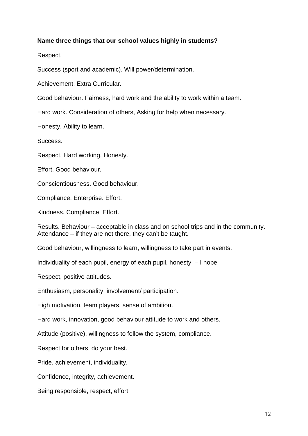#### **Name three things that our school values highly in students?**

Respect.

Success (sport and academic). Will power/determination.

Achievement. Extra Curricular.

Good behaviour. Fairness, hard work and the ability to work within a team.

Hard work. Consideration of others, Asking for help when necessary.

Honesty. Ability to learn.

Success.

Respect. Hard working. Honesty.

Effort. Good behaviour.

Conscientiousness. Good behaviour.

Compliance. Enterprise. Effort.

Kindness. Compliance. Effort.

Results. Behaviour – acceptable in class and on school trips and in the community. Attendance – if they are not there, they can't be taught.

Good behaviour, willingness to learn, willingness to take part in events.

Individuality of each pupil, energy of each pupil, honesty. – I hope

Respect, positive attitudes.

Enthusiasm, personality, involvement/ participation.

High motivation, team players, sense of ambition.

Hard work, innovation, good behaviour attitude to work and others.

Attitude (positive), willingness to follow the system, compliance.

Respect for others, do your best.

Pride, achievement, individuality.

Confidence, integrity, achievement.

Being responsible, respect, effort.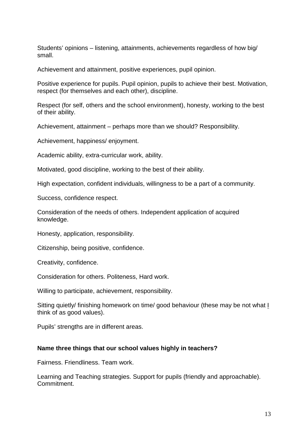Students' opinions – listening, attainments, achievements regardless of how big/ small.

Achievement and attainment, positive experiences, pupil opinion.

Positive experience for pupils. Pupil opinion, pupils to achieve their best. Motivation, respect (for themselves and each other), discipline.

Respect (for self, others and the school environment), honesty, working to the best of their ability.

Achievement, attainment – perhaps more than we should? Responsibility.

Achievement, happiness/ enjoyment.

Academic ability, extra-curricular work, ability.

Motivated, good discipline, working to the best of their ability.

High expectation, confident individuals, willingness to be a part of a community.

Success, confidence respect.

Consideration of the needs of others. Independent application of acquired knowledge.

Honesty, application, responsibility.

Citizenship, being positive, confidence.

Creativity, confidence.

Consideration for others. Politeness, Hard work.

Willing to participate, achievement, responsibility.

Sitting quietly/ finishing homework on time/ good behaviour (these may be not what I think of as good values).

Pupils' strengths are in different areas.

#### **Name three things that our school values highly in teachers?**

Fairness. Friendliness. Team work.

Learning and Teaching strategies. Support for pupils (friendly and approachable). Commitment.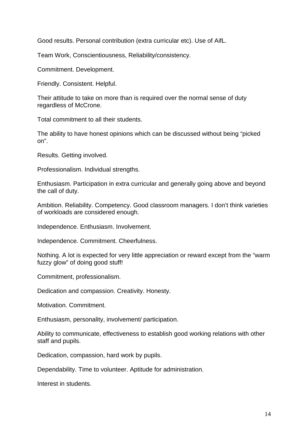Good results. Personal contribution (extra curricular etc). Use of AifL.

Team Work, Conscientiousness, Reliability/consistency.

Commitment. Development.

Friendly. Consistent. Helpful.

Their attitude to take on more than is required over the normal sense of duty regardless of McCrone.

Total commitment to all their students.

The ability to have honest opinions which can be discussed without being "picked on".

Results. Getting involved.

Professionalism. Individual strengths.

Enthusiasm. Participation in extra curricular and generally going above and beyond the call of duty.

Ambition. Reliability. Competency. Good classroom managers. I don't think varieties of workloads are considered enough.

Independence. Enthusiasm. Involvement.

Independence. Commitment. Cheerfulness.

Nothing. A lot is expected for very little appreciation or reward except from the "warm fuzzy glow" of doing good stuff!

Commitment, professionalism.

Dedication and compassion. Creativity. Honesty.

Motivation. Commitment.

Enthusiasm, personality, involvement/ participation.

Ability to communicate, effectiveness to establish good working relations with other staff and pupils.

Dedication, compassion, hard work by pupils.

Dependability. Time to volunteer. Aptitude for administration.

Interest in students.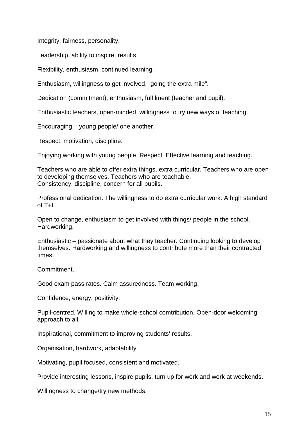Integrity, fairness, personality.

Leadership, ability to inspire, results.

Flexibility, enthusiasm, continued learning.

Enthusiasm, willingness to get involved, "going the extra mile".

Dedication (commitment), enthusiasm, fulfilment (teacher and pupil).

Enthusiastic teachers, open-minded, willingness to try new ways of teaching.

Encouraging – young people/ one another.

Respect, motivation, discipline.

Enjoying working with young people. Respect. Effective learning and teaching.

Teachers who are able to offer extra things, extra curricular. Teachers who are open to developing themselves. Teachers who are teachable. Consistency, discipline, concern for all pupils.

Professional dedication. The willingness to do extra curricular work. A high standard of  $T+L$ .

Open to change, enthusiasm to get involved with things/ people in the school. Hardworking.

Enthusiastic – passionate about what they teacher. Continuing looking to develop themselves. Hardworking and willingness to contribute more than their contracted times.

Commitment.

Good exam pass rates. Calm assuredness. Team working.

Confidence, energy, positivity.

Pupil-centred. Willing to make whole-school comtribution. Open-door welcoming approach to all.

Inspirational, commitment to improving students' results.

Organisation, hardwork, adaptability.

Motivating, pupil focused, consistent and motivated.

Provide interesting lessons, inspire pupils, turn up for work and work at weekends.

Willingness to change/try new methods.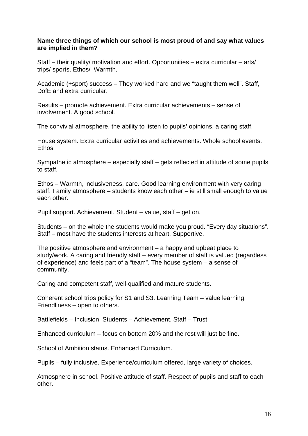#### **Name three things of which our school is most proud of and say what values are implied in them?**

Staff – their quality/ motivation and effort. Opportunities – extra curricular – arts/ trips/ sports. Ethos/ Warmth.

Academic (+sport) success – They worked hard and we "taught them well". Staff, DofE and extra curricular.

Results – promote achievement. Extra curricular achievements – sense of involvement. A good school.

The convivial atmosphere, the ability to listen to pupils' opinions, a caring staff.

House system. Extra curricular activities and achievements. Whole school events. Ethos.

Sympathetic atmosphere – especially staff – gets reflected in attitude of some pupils to staff.

Ethos – Warmth, inclusiveness, care. Good learning environment with very caring staff. Family atmosphere – students know each other – ie still small enough to value each other.

Pupil support. Achievement. Student – value, staff – get on.

Students – on the whole the students would make you proud. "Every day situations". Staff – most have the students interests at heart. Supportive.

The positive atmosphere and environment – a happy and upbeat place to study/work. A caring and friendly staff – every member of staff is valued (regardless of experience) and feels part of a "team". The house system – a sense of community.

Caring and competent staff, well-qualified and mature students.

Coherent school trips policy for S1 and S3. Learning Team – value learning. Friendliness – open to others.

Battlefields – Inclusion, Students – Achievement, Staff – Trust.

Enhanced curriculum – focus on bottom 20% and the rest will just be fine.

School of Ambition status. Enhanced Curriculum.

Pupils – fully inclusive. Experience/curriculum offered, large variety of choices.

Atmosphere in school. Positive attitude of staff. Respect of pupils and staff to each other.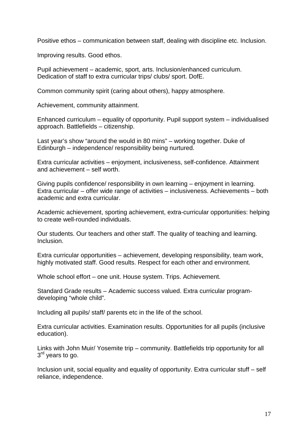Positive ethos – communication between staff, dealing with discipline etc. Inclusion.

Improving results. Good ethos.

Pupil achievement – academic, sport, arts. Inclusion/enhanced curriculum. Dedication of staff to extra curricular trips/ clubs/ sport. DofE.

Common community spirit (caring about others), happy atmosphere.

Achievement, community attainment.

Enhanced curriculum – equality of opportunity. Pupil support system – individualised approach. Battlefields – citizenship.

Last year's show "around the would in 80 mins" – working together. Duke of Edinburgh – independence/ responsibility being nurtured.

Extra curricular activities – enjoyment, inclusiveness, self-confidence. Attainment and achievement – self worth.

Giving pupils confidence/ responsibility in own learning – enjoyment in learning. Extra curricular – offer wide range of activities – inclusiveness. Achievements – both academic and extra curricular.

Academic achievement, sporting achievement, extra-curricular opportunities: helping to create well-rounded individuals.

Our students. Our teachers and other staff. The quality of teaching and learning. Inclusion.

Extra curricular opportunities – achievement, developing responsibility, team work, highly motivated staff. Good results. Respect for each other and environment.

Whole school effort – one unit. House system. Trips. Achievement.

Standard Grade results – Academic success valued. Extra curricular programdeveloping "whole child".

Including all pupils/ staff/ parents etc in the life of the school.

Extra curricular activities. Examination results. Opportunities for all pupils (inclusive education).

Links with John Muir/ Yosemite trip – community. Battlefields trip opportunity for all 3<sup>rd</sup> years to go.

Inclusion unit, social equality and equality of opportunity. Extra curricular stuff – self reliance, independence.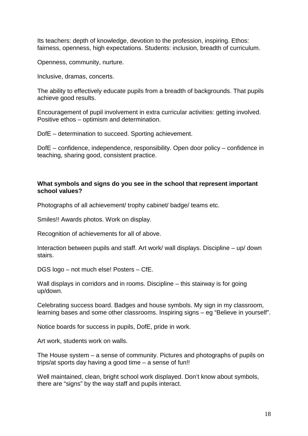Its teachers: depth of knowledge, devotion to the profession, inspiring. Ethos: fairness, openness, high expectations. Students: inclusion, breadth of curriculum.

Openness, community, nurture.

Inclusive, dramas, concerts.

The ability to effectively educate pupils from a breadth of backgrounds. That pupils achieve good results.

Encouragement of pupil involvement in extra curricular activities: getting involved. Positive ethos – optimism and determination.

DofE – determination to succeed. Sporting achievement.

DofE – confidence, independence, responsibility. Open door policy – confidence in teaching, sharing good, consistent practice.

#### **What symbols and signs do you see in the school that represent important school values?**

Photographs of all achievement/ trophy cabinet/ badge/ teams etc.

Smiles!! Awards photos. Work on display.

Recognition of achievements for all of above.

Interaction between pupils and staff. Art work/ wall displays. Discipline – up/ down stairs.

DGS logo – not much else! Posters – CfE.

Wall displays in corridors and in rooms. Discipline – this stairway is for going up/down.

Celebrating success board. Badges and house symbols. My sign in my classroom, learning bases and some other classrooms. Inspiring signs – eg "Believe in yourself".

Notice boards for success in pupils, DofE, pride in work.

Art work, students work on walls.

The House system – a sense of community. Pictures and photographs of pupils on trips/at sports day having a good time – a sense of fun!!

Well maintained, clean, bright school work displayed. Don't know about symbols, there are "signs" by the way staff and pupils interact.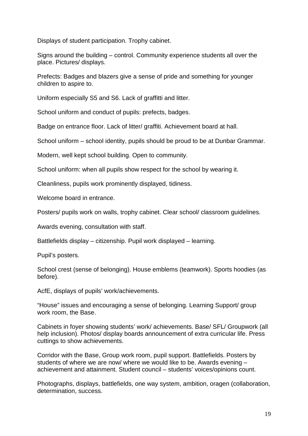Displays of student participation. Trophy cabinet.

Signs around the building – control. Community experience students all over the place. Pictures/ displays.

Prefects: Badges and blazers give a sense of pride and something for younger children to aspire to.

Uniform especially S5 and S6. Lack of graffitti and litter.

School uniform and conduct of pupils: prefects, badges.

Badge on entrance floor. Lack of litter/ graffiti. Achievement board at hall.

School uniform – school identity, pupils should be proud to be at Dunbar Grammar.

Modern, well kept school building. Open to community.

School uniform: when all pupils show respect for the school by wearing it.

Cleanliness, pupils work prominently displayed, tidiness.

Welcome board in entrance.

Posters/ pupils work on walls, trophy cabinet. Clear school/ classroom guidelines.

Awards evening, consultation with staff.

Battlefields display – citizenship. Pupil work displayed – learning.

Pupil's posters.

School crest (sense of belonging). House emblems (teamwork). Sports hoodies (as before).

AcfE, displays of pupils' work/achievements.

"House" issues and encouraging a sense of belonging. Learning Support/ group work room, the Base.

Cabinets in foyer showing students' work/ achievements. Base/ SFL/ Groupwork (all help inclusion). Photos/ display boards announcement of extra curricular life. Press cuttings to show achievements.

Corridor with the Base, Group work room, pupil support. Battlefields. Posters by students of where we are now/ where we would like to be. Awards evening – achievement and attainment. Student council – students' voices/opinions count.

Photographs, displays, battlefields, one way system, ambition, oragen (collaboration, determination, success.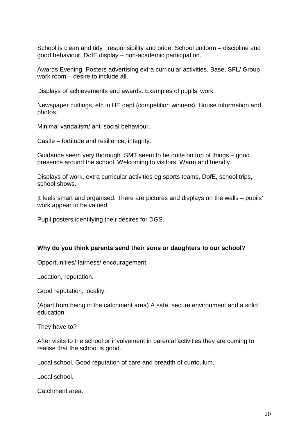School is clean and tidy : responsibility and pride. School uniform – discipline and good behaviour. DofE display – non-academic participation.

Awards Evening. Posters advertising extra curricular activities. Base, SFL/ Group work room – desire to include all.

Displays of achievements and awards. Examples of pupils' work.

Newspaper cuttings, etc in HE dept (competition winners). House information and photos.

Minimal vandalism/ anti social behaviour.

Castle – fortitude and resilience, integrity.

Guidance seem very thorough. SMT seem to be quite on top of things – good presence around the school. Welcoming to visitors. Warm and friendly.

Displays of work, extra curricular activities eg sports teams, DofE, school trips, school shows.

It feels smart and organised. There are pictures and displays on the walls – pupils' work appear to be valued.

Pupil posters identifying their desires for DGS.

#### **Why do you think parents send their sons or daughters to our school?**

Opportunities/ fairness/ encouragement.

Location, reputation.

Good reputation, locality.

(Apart from being in the catchment area) A safe, secure environment and a solid education.

They have to?

After visits to the school or involvement in parental activities they are coming to realise that the school is good.

Local school. Good reputation of care and breadth of curriculum.

Local school.

Catchment area.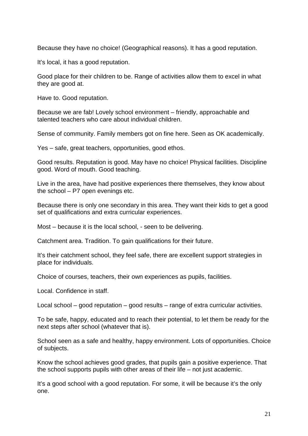Because they have no choice! (Geographical reasons). It has a good reputation.

It's local, it has a good reputation.

Good place for their children to be. Range of activities allow them to excel in what they are good at.

Have to. Good reputation.

Because we are fab! Lovely school environment – friendly, approachable and talented teachers who care about individual children.

Sense of community. Family members got on fine here. Seen as OK academically.

Yes – safe, great teachers, opportunities, good ethos.

Good results. Reputation is good. May have no choice! Physical facilities. Discipline good. Word of mouth. Good teaching.

Live in the area, have had positive experiences there themselves, they know about the school – P7 open evenings etc.

Because there is only one secondary in this area. They want their kids to get a good set of qualifications and extra curricular experiences.

Most – because it is the local school, - seen to be delivering.

Catchment area. Tradition. To gain qualifications for their future.

It's their catchment school, they feel safe, there are excellent support strategies in place for individuals.

Choice of courses, teachers, their own experiences as pupils, facilities.

Local. Confidence in staff.

Local school – good reputation – good results – range of extra curricular activities.

To be safe, happy, educated and to reach their potential, to let them be ready for the next steps after school (whatever that is).

School seen as a safe and healthy, happy environment. Lots of opportunities. Choice of subjects.

Know the school achieves good grades, that pupils gain a positive experience. That the school supports pupils with other areas of their life – not just academic.

It's a good school with a good reputation. For some, it will be because it's the only one.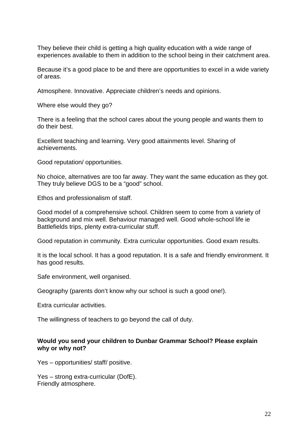They believe their child is getting a high quality education with a wide range of experiences available to them in addition to the school being in their catchment area.

Because it's a good place to be and there are opportunities to excel in a wide variety of areas.

Atmosphere. Innovative. Appreciate children's needs and opinions.

Where else would they go?

There is a feeling that the school cares about the young people and wants them to do their best.

Excellent teaching and learning. Very good attainments level. Sharing of achievements.

Good reputation/ opportunities.

No choice, alternatives are too far away. They want the same education as they got. They truly believe DGS to be a "good" school.

Ethos and professionalism of staff.

Good model of a comprehensive school. Children seem to come from a variety of background and mix well. Behaviour managed well. Good whole-school life ie Battlefields trips, plenty extra-curricular stuff.

Good reputation in community. Extra curricular opportunities. Good exam results.

It is the local school. It has a good reputation. It is a safe and friendly environment. It has good results.

Safe environment, well organised.

Geography (parents don't know why our school is such a good one!).

Extra curricular activities.

The willingness of teachers to go beyond the call of duty.

#### **Would you send your children to Dunbar Grammar School? Please explain why or why not?**

Yes – opportunities/ staff/ positive.

Yes – strong extra-curricular (DofE). Friendly atmosphere.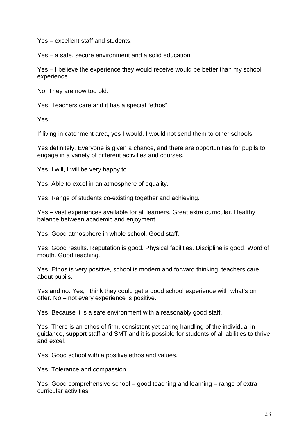Yes – excellent staff and students.

Yes – a safe, secure environment and a solid education.

Yes – I believe the experience they would receive would be better than my school experience.

No. They are now too old.

Yes. Teachers care and it has a special "ethos".

Yes.

If living in catchment area, yes I would. I would not send them to other schools.

Yes definitely. Everyone is given a chance, and there are opportunities for pupils to engage in a variety of different activities and courses.

Yes, I will, I will be very happy to.

Yes. Able to excel in an atmosphere of equality.

Yes. Range of students co-existing together and achieving.

Yes – vast experiences available for all learners. Great extra curricular. Healthy balance between academic and enjoyment.

Yes. Good atmosphere in whole school. Good staff.

Yes. Good results. Reputation is good. Physical facilities. Discipline is good. Word of mouth. Good teaching.

Yes. Ethos is very positive, school is modern and forward thinking, teachers care about pupils.

Yes and no. Yes, I think they could get a good school experience with what's on offer. No – not every experience is positive.

Yes. Because it is a safe environment with a reasonably good staff.

Yes. There is an ethos of firm, consistent yet caring handling of the individual in guidance, support staff and SMT and it is possible for students of all abilities to thrive and excel.

Yes. Good school with a positive ethos and values.

Yes. Tolerance and compassion.

Yes. Good comprehensive school – good teaching and learning – range of extra curricular activities.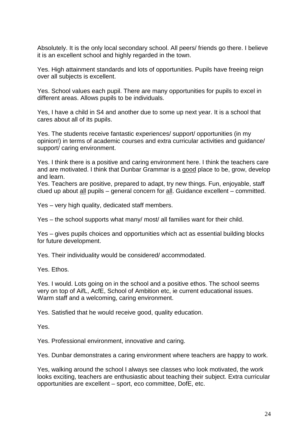Absolutely. It is the only local secondary school. All peers/ friends go there. I believe it is an excellent school and highly regarded in the town.

Yes. High attainment standards and lots of opportunities. Pupils have freeing reign over all subjects is excellent.

Yes. School values each pupil. There are many opportunities for pupils to excel in different areas. Allows pupils to be individuals.

Yes, I have a child in S4 and another due to some up next year. It is a school that cares about all of its pupils.

Yes. The students receive fantastic experiences/ support/ opportunities (in my opinion!) in terms of academic courses and extra curricular activities and guidance/ support/ caring environment.

Yes. I think there is a positive and caring environment here. I think the teachers care and are motivated. I think that Dunbar Grammar is a good place to be, grow, develop and learn.

Yes. Teachers are positive, prepared to adapt, try new things. Fun, enjoyable, staff clued up about all pupils – general concern for all. Guidance excellent – committed.

Yes – very high quality, dedicated staff members.

Yes – the school supports what many/ most/ all families want for their child.

Yes – gives pupils choices and opportunities which act as essential building blocks for future development.

Yes. Their individuality would be considered/ accommodated.

Yes. Ethos.

Yes. I would. Lots going on in the school and a positive ethos. The school seems very on top of AifL, AcfE, School of Ambition etc, ie current educational issues. Warm staff and a welcoming, caring environment.

Yes. Satisfied that he would receive good, quality education.

Yes.

Yes. Professional environment, innovative and caring.

Yes. Dunbar demonstrates a caring environment where teachers are happy to work.

Yes, walking around the school I always see classes who look motivated, the work looks exciting, teachers are enthusiastic about teaching their subject. Extra curricular opportunities are excellent – sport, eco committee, DofE, etc.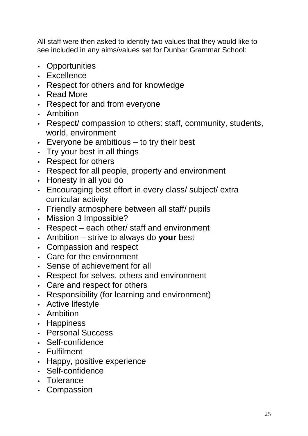All staff were then asked to identify two values that they would like to see included in any aims/values set for Dunbar Grammar School:

- Opportunities
- Excellence
- Respect for others and for knowledge
- Read More
- Respect for and from everyone
- Ambition
- Respect/ compassion to others: staff, community, students, world, environment
- $\cdot$  Everyone be ambitious  $-$  to try their best
- Try your best in all things
- Respect for others
- Respect for all people, property and environment
- Honesty in all you do
- Encouraging best effort in every class/ subject/ extra curricular activity
- Friendly atmosphere between all staff/ pupils
- Mission 3 Impossible?
- Respect each other/ staff and environment
- Ambition strive to always do **your** best
- Compassion and respect
- Care for the environment
- Sense of achievement for all
- Respect for selves, others and environment
- Care and respect for others
- Responsibility (for learning and environment)
- Active lifestyle
- Ambition
- Happiness
- Personal Success
- Self-confidence
- Fulfilment
- Happy, positive experience
- Self-confidence
- Tolerance
- Compassion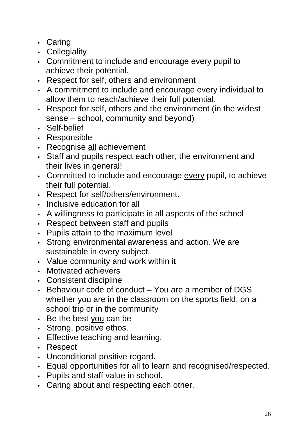- Caring
- Collegiality
- Commitment to include and encourage every pupil to achieve their potential.
- Respect for self, others and environment
- A commitment to include and encourage every individual to allow them to reach/achieve their full potential.
- Respect for self, others and the environment (in the widest sense – school, community and beyond)
- Self-belief
- Responsible
- Recognise all achievement
- Staff and pupils respect each other, the environment and their lives in general!
- Committed to include and encourage every pupil, to achieve their full potential.
- Respect for self/others/environment.
- Inclusive education for all
- A willingness to participate in all aspects of the school
- Respect between staff and pupils
- Pupils attain to the maximum level
- Strong environmental awareness and action. We are sustainable in every subject.
- Value community and work within it
- Motivated achievers
- Consistent discipline
- Behaviour code of conduct You are a member of DGS whether you are in the classroom on the sports field, on a school trip or in the community
- Be the best you can be
- Strong, positive ethos.
- Effective teaching and learning.
- Respect
- Unconditional positive regard.
- Equal opportunities for all to learn and recognised/respected.
- Pupils and staff value in school.
- Caring about and respecting each other.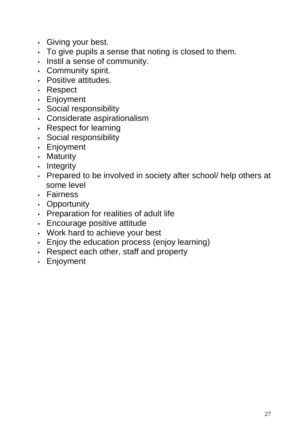- Giving your best.
- To give pupils a sense that noting is closed to them.
- Instil a sense of community.
- Community spirit.
- Positive attitudes.
- Respect
- Enjoyment
- Social responsibility
- Considerate aspirationalism
- Respect for learning
- Social responsibility
- Enjoyment
- Maturity
- Integrity
- Prepared to be involved in society after school/ help others at some level
- Fairness
- Opportunity
- Preparation for realities of adult life
- Encourage positive attitude
- Work hard to achieve your best
- Enjoy the education process (enjoy learning)
- Respect each other, staff and property
- Enjoyment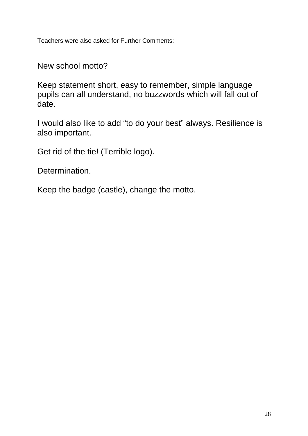Teachers were also asked for Further Comments:

New school motto?

Keep statement short, easy to remember, simple language pupils can all understand, no buzzwords which will fall out of date.

I would also like to add "to do your best" always. Resilience is also important.

Get rid of the tie! (Terrible logo).

Determination.

Keep the badge (castle), change the motto.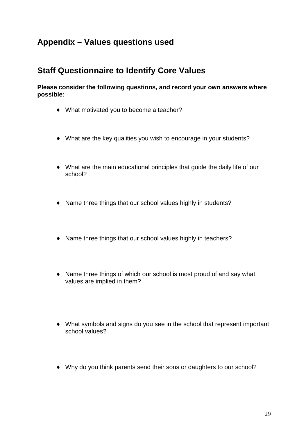## **Appendix – Values questions used**

## **Staff Questionnaire to Identify Core Values**

**Please consider the following questions, and record your own answers where possible:** 

- ♦ What motivated you to become a teacher?
- ♦ What are the key qualities you wish to encourage in your students?
- ♦ What are the main educational principles that guide the daily life of our school?
- ♦ Name three things that our school values highly in students?
- ♦ Name three things that our school values highly in teachers?
- ♦ Name three things of which our school is most proud of and say what values are implied in them?
- ♦ What symbols and signs do you see in the school that represent important school values?
- ♦ Why do you think parents send their sons or daughters to our school?